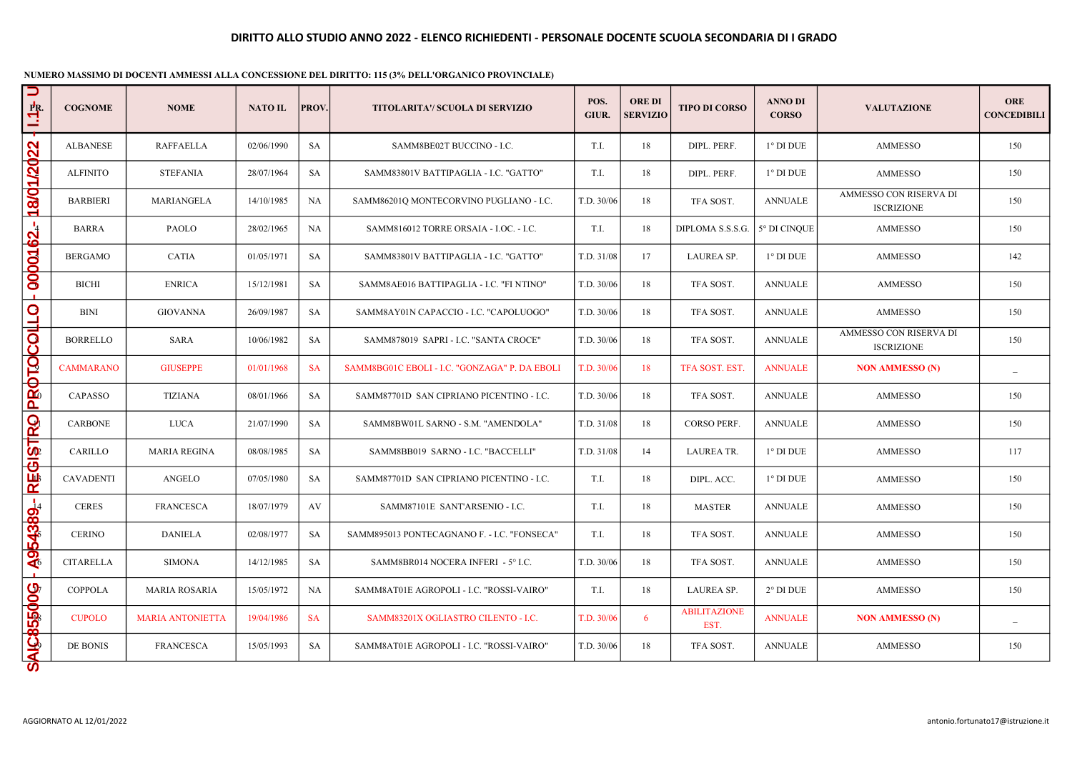| U<br>PR.<br>≊             | <b>COGNOME</b>                                                | <b>NOME</b>             | <b>NATO IL</b> | PROV.     | <b>TITOLARITA'/ SCUOLA DI SERVIZIO</b>        | POS.<br>GIUR. | <b>ORE DI</b><br><b>SERVIZIO</b> | <b>TIPO DI CORSO</b>        | <b>ANNO DI</b><br><b>CORSO</b> | <b>VALUTAZIONE</b>                          | <b>ORE</b><br><b>CONCEDIBILI</b> |
|---------------------------|---------------------------------------------------------------|-------------------------|----------------|-----------|-----------------------------------------------|---------------|----------------------------------|-----------------------------|--------------------------------|---------------------------------------------|----------------------------------|
|                           | <b>ALBANESE</b>                                               | <b>RAFFAELLA</b>        | 02/06/1990     | <b>SA</b> | SAMM8BE02T BUCCINO - I.C.                     | T.I.          | 18                               | DIPL. PERF.                 | $1^\circ$ DI DUE               | <b>AMMESSO</b>                              | 150                              |
| 1/2022                    | <b>ALFINITO</b>                                               | <b>STEFANIA</b>         | 28/07/1964     | SA        | SAMM83801V BATTIPAGLIA - I.C. "GATTO"         | T.I.          | 18                               | DIPL. PERF.                 | $1^\circ$ DI DUE               | <b>AMMESSO</b>                              | 150                              |
| 18/0                      | <b>BARBIERI</b>                                               | MARIANGELA              | 14/10/1985     | <b>NA</b> | SAMM86201Q MONTECORVINO PUGLIANO - I.C.       | T.D. 30/06    | 18                               | TFA SOST.                   | <b>ANNUALE</b>                 | AMMESSO CON RISERVA DI<br><b>ISCRIZIONE</b> | 150                              |
| $\mathbf{S}^{\mathbf{L}}$ | <b>BARRA</b>                                                  | <b>PAOLO</b>            | 28/02/1965     | NA.       | SAMM816012 TORRE ORSAIA - I.OC. - I.C.        | T.I.          | 18                               | DIPLOMA S.S.S.G.            | 5° DI CINQUE                   | <b>AMMESSO</b>                              | 150                              |
| <b>QOOO1</b>              | <b>BERGAMO</b>                                                | <b>CATIA</b>            | 01/05/1971     | <b>SA</b> | SAMM83801V BATTIPAGLIA - I.C. "GATTO"         | T.D. 31/08    | 17                               | LAUREA SP.                  | $1^\circ$ DI DUE               | <b>AMMESSO</b>                              | 142                              |
|                           | <b>BICHI</b>                                                  | <b>ENRICA</b>           | 15/12/1981     | SA        | SAMM8AE016 BATTIPAGLIA - I.C. "FI NTINO"      | T.D. 30/06    | 18                               | TFA SOST.                   | <b>ANNUALE</b>                 | <b>AMMESSO</b>                              | 150                              |
| <u>्</u>                  | <b>BINI</b>                                                   | <b>GIOVANNA</b>         | 26/09/1987     | SA        | SAMM8AY01N CAPACCIO - I.C. "CAPOLUOGO"        | T.D. 30/06    | 18                               | TFA SOST.                   | <b>ANNUALE</b>                 | <b>AMMESSO</b>                              | 150                              |
| PROTOCOL                  | <b>BORRELLO</b>                                               | <b>SARA</b>             | 10/06/1982     | SA        | SAMM878019 SAPRI - I.C. "SANTA CROCE"         | T.D. 30/06    | 18                               | TFA SOST.                   | <b>ANNUALE</b>                 | AMMESSO CON RISERVA DI<br><b>ISCRIZIONE</b> | 150                              |
|                           | <b>CAMMARANO</b>                                              | <b>GIUSEPPE</b>         | 01/01/1968     | <b>SA</b> | SAMM8BG01C EBOLI - I.C. "GONZAGA" P. DA EBOLI | T.D. 30/06    | 18                               | TFA SOST. EST.              | <b>ANNUALE</b>                 | <b>NON AMMESSO (N)</b>                      | $\overline{\phantom{0}}$         |
|                           | <b>CAPASSO</b>                                                | <b>TIZIANA</b>          | 08/01/1966     | SA        | SAMM87701D SAN CIPRIANO PICENTINO - I.C.      | T.D. 30/06    | 18                               | TFA SOST.                   | <b>ANNUALE</b>                 | <b>AMMESSO</b>                              | 150                              |
| RO                        | <b>CARBONE</b>                                                | <b>LUCA</b>             | 21/07/1990     | <b>SA</b> | SAMM8BW01L SARNO - S.M. "AMENDOLA"            | T.D. 31/08    | 18                               | <b>CORSO PERF.</b>          | <b>ANNUALE</b>                 | <b>AMMESSO</b>                              | 150                              |
| <b>Listp</b>              | CARILLO                                                       | <b>MARIA REGINA</b>     | 08/08/1985     | SA        | SAMM8BB019 SARNO - I.C. "BACCELLI"            | T.D. 31/08    | 14                               | <b>LAUREA TR.</b>           | $1^\circ$ DI DUE               | <b>AMMESSO</b>                              | 117                              |
| <b>RE</b>                 | <b>CAVADENTI</b>                                              | <b>ANGELO</b>           | 07/05/1980     | <b>SA</b> | SAMM87701D SAN CIPRIANO PICENTINO - I.C.      | T.I.          | 18                               | DIPL. ACC.                  | $1^\circ$ DI DUE               | <b>AMMESSO</b>                              | 150                              |
|                           | <b>CERES</b>                                                  | <b>FRANCESCA</b>        | 18/07/1979     | AV        | SAMM87101E SANT'ARSENIO - I.C.                | T.I.          | 18                               | <b>MASTER</b>               | <b>ANNUALE</b>                 | <b>AMMESSO</b>                              | 150                              |
| A954389-                  | <b>CERINO</b>                                                 | <b>DANIELA</b>          | 02/08/1977     | <b>SA</b> | SAMM895013 PONTECAGNANO F. - I.C. "FONSECA"   | T.I.          | 18                               | TFA SOST.                   | <b>ANNUALE</b>                 | <b>AMMESSO</b>                              | 150                              |
|                           | <b>CITARELLA</b>                                              | <b>SIMONA</b>           | 14/12/1985     | <b>SA</b> | SAMM8BR014 NOCERA INFERI - 5° I.C.            | T.D. 30/06    | 18                               | TFA SOST.                   | <b>ANNUALE</b>                 | <b>AMMESSO</b>                              | 150                              |
|                           | <b>COPPOLA</b>                                                | <b>MARIA ROSARIA</b>    | 15/05/1972     | <b>NA</b> | SAMM8AT01E AGROPOLI - I.C. "ROSSI-VAIRO"      | T.I.          | 18                               | LAUREA SP.                  | $2^{\circ}$ DI DUE             | <b>AMMESSO</b>                              | 150                              |
|                           | <b>CUPOLO</b>                                                 | <b>MARIA ANTONIETTA</b> | 19/04/1986     | <b>SA</b> | SAMM83201X OGLIASTRO CILENTO - I.C.           | T.D. 30/06    | 6                                | <b>ABILITAZIONE</b><br>EST. | <b>ANNUALE</b>                 | <b>NON AMMESSO (N)</b>                      |                                  |
| <b>SAIC85500G</b>         | DE BONIS                                                      | <b>FRANCESCA</b>        | 15/05/1993     | SA        | SAMM8AT01E AGROPOLI - I.C. "ROSSI-VAIRO"      | T.D. 30/06    | 18                               | TFA SOST.                   | <b>ANNUALE</b>                 | <b>AMMESSO</b>                              | 150                              |
|                           | AGGIORNATO AL 12/01/2022<br>antonio.fortunato17@istruzione.it |                         |                |           |                                               |               |                                  |                             |                                |                                             |                                  |

NUMERO MASSIMO DI DOCENTI AMMESSI ALLA CONCESSIONE DEL DIRITTO: 115 (3% DELL'ORGANICO PROVINCIALE)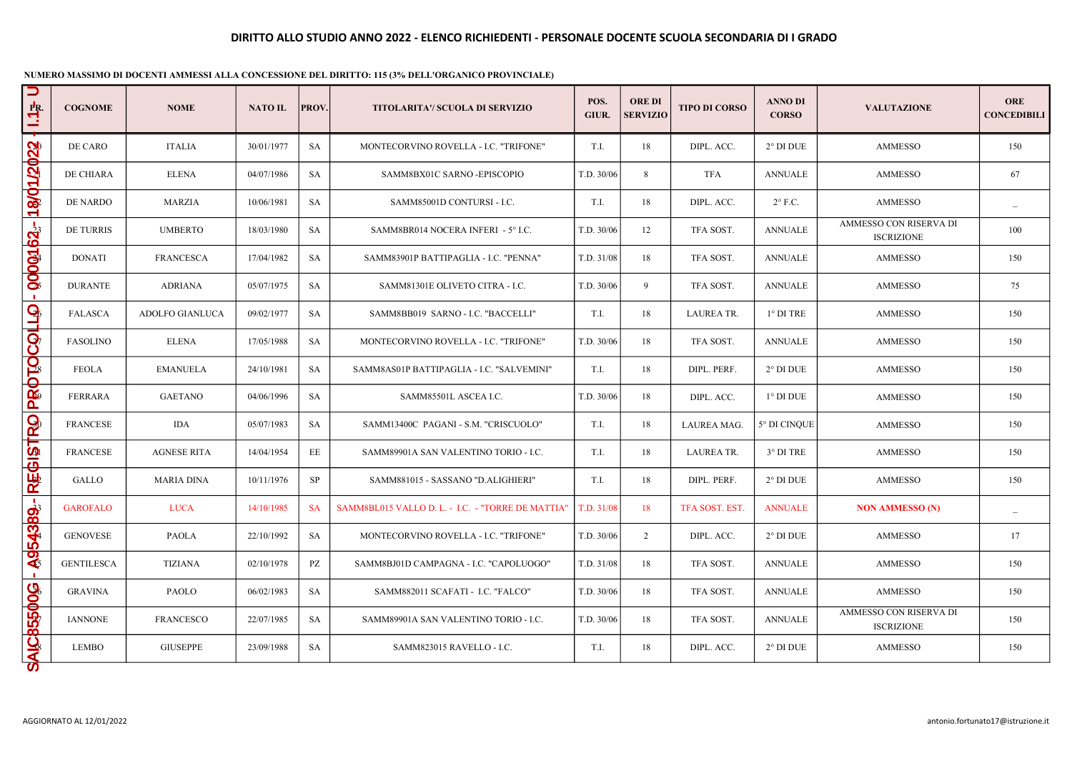| U<br>PR.<br>Ξ     | <b>COGNOME</b>                                                | <b>NOME</b>        | <b>NATO IL</b> | PROV.     | <b>TITOLARITA'/ SCUOLA DI SERVIZIO</b>            | POS.<br>GIUR. | <b>ORE DI</b><br><b>SERVIZIO</b> | <b>TIPO DI CORSO</b> | <b>ANNO DI</b><br><b>CORSO</b> | <b>VALUTAZIONE</b>                          | <b>ORE</b><br><b>CONCEDIBILI</b> |
|-------------------|---------------------------------------------------------------|--------------------|----------------|-----------|---------------------------------------------------|---------------|----------------------------------|----------------------|--------------------------------|---------------------------------------------|----------------------------------|
|                   | DE CARO                                                       | <b>ITALIA</b>      | 30/01/1977     | <b>SA</b> | MONTECORVINO ROVELLA - I.C. "TRIFONE"             | T.I.          | 18                               | DIPL. ACC.           | $2^{\circ}$ DI DUE             | <b>AMMESSO</b>                              | 150                              |
| 1/2022            | DE CHIARA                                                     | <b>ELENA</b>       | 04/07/1986     | SA        | SAMM8BX01C SARNO -EPISCOPIO                       | T.D. 30/06    | 8                                | TFA                  | <b>ANNUALE</b>                 | <b>AMMESSO</b>                              | 67                               |
| 18/0              | DE NARDO                                                      | <b>MARZIA</b>      | 10/06/1981     | <b>SA</b> | SAMM85001D CONTURSI - I.C.                        | T.I.          | 18                               | DIPL. ACC.           | $2^{\circ}$ F.C.               | <b>AMMESSO</b>                              |                                  |
|                   | DE TURRIS                                                     | <b>UMBERTO</b>     | 18/03/1980     | SA        | SAMM8BR014 NOCERA INFERI - 5° I.C.                | T.D. 30/06    | 12                               | TFA SOST.            | <b>ANNUALE</b>                 | AMMESSO CON RISERVA DI<br><b>ISCRIZIONE</b> | 100                              |
| <b>golog162.-</b> | <b>DONATI</b>                                                 | <b>FRANCESCA</b>   | 17/04/1982     | <b>SA</b> | SAMM83901P BATTIPAGLIA - I.C. "PENNA"             | T.D. 31/08    | 18                               | TFA SOST.            | <b>ANNUALE</b>                 | <b>AMMESSO</b>                              | 150                              |
|                   | <b>DURANTE</b>                                                | <b>ADRIANA</b>     | 05/07/1975     | SA        | SAMM81301E OLIVETO CITRA - I.C.                   | T.D. 30/06    | 9                                | TFA SOST.            | <b>ANNUALE</b>                 | <b>AMMESSO</b>                              | 75                               |
| <b>GUIQO</b>      | <b>FALASCA</b>                                                | ADOLFO GIANLUCA    | 09/02/1977     | SA        | SAMM8BB019 SARNO - I.C. "BACCELLI"                | T.I.          | 18                               | <b>LAUREA TR.</b>    | $1^{\circ}$ DI TRE             | <b>AMMESSO</b>                              | 150                              |
|                   | <b>FASOLINO</b>                                               | <b>ELENA</b>       | 17/05/1988     | <b>SA</b> | MONTECORVINO ROVELLA - I.C. "TRIFONE"             | T.D. 30/06    | 18                               | TFA SOST.            | <b>ANNUALE</b>                 | <b>AMMESSO</b>                              | 150                              |
| PROTO             | <b>FEOLA</b>                                                  | <b>EMANUELA</b>    | 24/10/1981     | SA        | SAMM8AS01P BATTIPAGLIA - I.C. "SALVEMINI"         | T.I.          | 18                               | DIPL. PERF.          | $2^{\circ}$ DI DUE             | <b>AMMESSO</b>                              | 150                              |
|                   | <b>FERRARA</b>                                                | <b>GAETANO</b>     | 04/06/1996     | SA        | SAMM85501L ASCEA I.C.                             | T.D. 30/06    | 18                               | DIPL. ACC.           | $1^\circ$ DI DUE               | <b>AMMESSO</b>                              | 150                              |
|                   | <b>FRANCESE</b>                                               | <b>IDA</b>         | 05/07/1983     | SA        | SAMM13400C PAGANI - S.M. "CRISCUOLO"              | T.I.          | 18                               | LAUREA MAG.          | 5° DI CINQUE                   | <b>AMMESSO</b>                              | 150                              |
| GISTRO            | <b>FRANCESE</b>                                               | <b>AGNESE RITA</b> | 14/04/1954     | EE        | SAMM89901A SAN VALENTINO TORIO - I.C.             | T.I.          | 18                               | <b>LAUREA TR.</b>    | $3^{\circ}$ DI TRE             | <b>AMMESSO</b>                              | 150                              |
| 噪                 | GALLO                                                         | <b>MARIA DINA</b>  | 10/11/1976     | <b>SP</b> | SAMM881015 - SASSANO "D.ALIGHIERI"                | T.I.          | 18                               | DIPL. PERF.          | $2^{\circ}$ DI DUE             | <b>AMMESSO</b>                              | 150                              |
| $\blacksquare$    | <b>GAROFALO</b>                                               | <b>LUCA</b>        | 14/10/1985     | <b>SA</b> | SAMM8BL015 VALLO D. L. - I.C. - "TORRE DE MATTIA" | T.D. 31/08    | 18                               | TFA SOST. EST.       | <b>ANNUALE</b>                 | <b>NON AMMESSO (N)</b>                      |                                  |
| 54389.            | <b>GENOVESE</b>                                               | <b>PAOLA</b>       | 22/10/1992     | SA        | MONTECORVINO ROVELLA - I.C. "TRIFONE"             | T.D. 30/06    | 2                                | DIPL. ACC.           | $2^{\circ}$ DI DUE             | <b>AMMESSO</b>                              | 17                               |
| $\ddot{a}$        | <b>GENTILESCA</b>                                             | <b>TIZIANA</b>     | 02/10/1978     | PZ        | SAMM8BJ01D CAMPAGNA - I.C. "CAPOLUOGO"            | T.D. 31/08    | 18                               | TFA SOST.            | <b>ANNUALE</b>                 | <b>AMMESSO</b>                              | 150                              |
|                   | <b>GRAVINA</b>                                                | PAOLO              | 06/02/1983     | SA        | SAMM882011 SCAFATI - I.C. "FALCO"                 | T.D. 30/06    | 18                               | TFA SOST.            | <b>ANNUALE</b>                 | <b>AMMESSO</b>                              | 150                              |
| 855006            | <b>IANNONE</b>                                                | <b>FRANCESCO</b>   | 22/07/1985     | SA        | SAMM89901A SAN VALENTINO TORIO - I.C.             | T.D. 30/06    | 18                               | TFA SOST.            | <b>ANNUALE</b>                 | AMMESSO CON RISERVA DI<br><b>ISCRIZIONE</b> | 150                              |
| SAIC              | <b>LEMBO</b>                                                  | <b>GIUSEPPE</b>    | 23/09/1988     | SA        | SAMM823015 RAVELLO - I.C.                         | T.I.          | 18                               | DIPL. ACC.           | $2^{\circ}$ DI DUE             | <b>AMMESSO</b>                              | 150                              |
|                   | AGGIORNATO AL 12/01/2022<br>antonio.fortunato17@istruzione.it |                    |                |           |                                                   |               |                                  |                      |                                |                                             |                                  |

### NUMERO MASSIMO DI DOCENTI AMMESSI ALLA CONCESSIONE DEL DIRITTO: 115 (3% DELL'ORGANICO PROVINCIALE)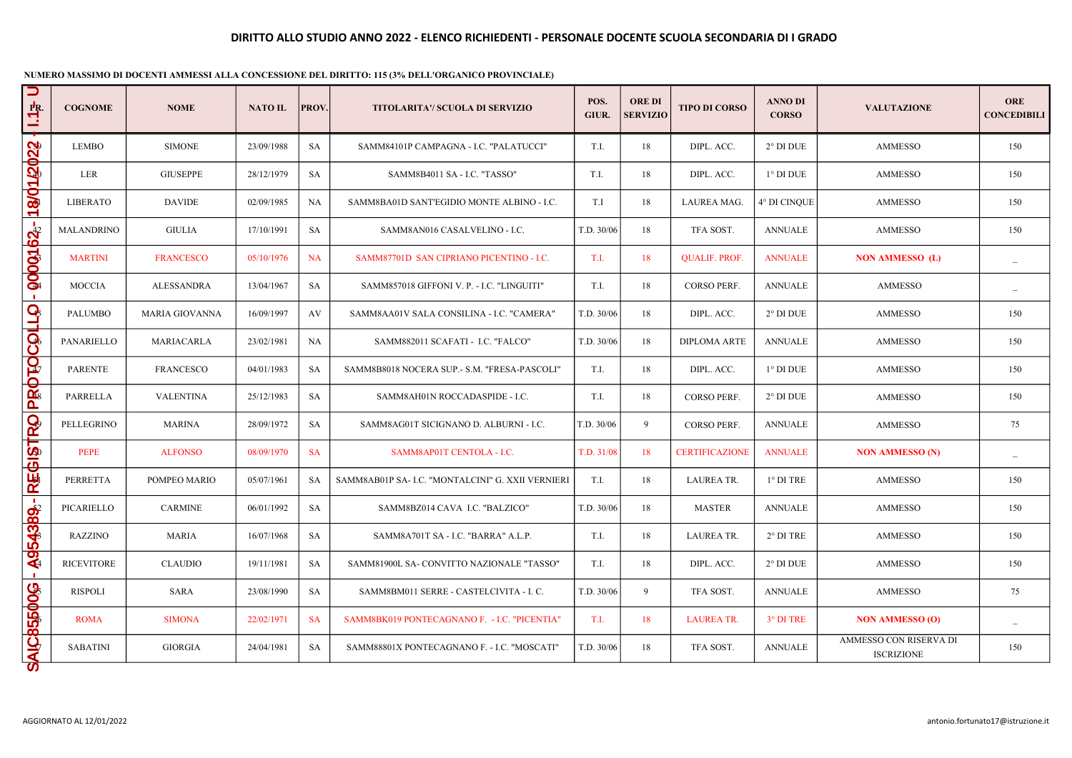| U<br>$\frac{PR}{L}$ | <b>COGNOME</b>                                                | <b>NOME</b>           | <b>NATO IL</b> | PROV.     | TITOLARITA'/ SCUOLA DI SERVIZIO                   | POS.<br>GIUR. | <b>ORE DI</b><br><b>SERVIZIO</b> | <b>TIPO DI CORSO</b>  | <b>ANNO DI</b><br><b>CORSO</b> | <b>VALUTAZIONE</b>                          | <b>ORE</b><br><b>CONCEDIBILI</b> |
|---------------------|---------------------------------------------------------------|-----------------------|----------------|-----------|---------------------------------------------------|---------------|----------------------------------|-----------------------|--------------------------------|---------------------------------------------|----------------------------------|
|                     | <b>LEMBO</b>                                                  | <b>SIMONE</b>         | 23/09/1988     | SA        | SAMM84101P CAMPAGNA - I.C. "PALATUCCI"            | T.I.          | 18                               | DIPL. ACC.            | $2^{\circ}$ DI DUE             | <b>AMMESSO</b>                              | 150                              |
| 220251              | LER                                                           | <b>GIUSEPPE</b>       | 28/12/1979     | SA        | SAMM8B4011 SA - I.C. "TASSO"                      | T.I.          | 18                               | DIPL. ACC.            | $1^\circ$ DI DUE               | <b>AMMESSO</b>                              | 150                              |
| 18/0                | <b>LIBERATO</b>                                               | <b>DAVIDE</b>         | 02/09/1985     | <b>NA</b> | SAMM8BA01D SANT'EGIDIO MONTE ALBINO - I.C.        | T.I           | 18                               | LAUREA MAG.           | 4° DI CINQUE                   | <b>AMMESSO</b>                              | 150                              |
|                     | <b>MALANDRINO</b>                                             | <b>GIULIA</b>         | 17/10/1991     | SA        | SAMM8AN016 CASALVELINO - I.C.                     | T.D. 30/06    | 18                               | TFA SOST.             | <b>ANNUALE</b>                 | <b>AMMESSO</b>                              | 150                              |
| <b>QOOQ162</b>      | <b>MARTINI</b>                                                | <b>FRANCESCO</b>      | 05/10/1976     | NA        | SAMM87701D SAN CIPRIANO PICENTINO - I.C.          | T.I.          | 18                               | <b>QUALIF. PROF.</b>  | <b>ANNUALE</b>                 | <b>NON AMMESSO (L)</b>                      | $\equiv$                         |
| $\mathbf{L}$        | <b>MOCCIA</b>                                                 | ALESSANDRA            | 13/04/1967     | SA        | SAMM857018 GIFFONI V. P. - I.C. "LINGUITI"        | T.I.          | 18                               | <b>CORSO PERF.</b>    | <b>ANNUALE</b>                 | <b>AMMESSO</b>                              |                                  |
| <b>Collod</b>       | <b>PALUMBO</b>                                                | <b>MARIA GIOVANNA</b> | 16/09/1997     | AV        | SAMM8AA01V SALA CONSILINA - I.C. "CAMERA"         | T.D. 30/06    | 18                               | DIPL. ACC.            | $2^{\circ}$ DI DUE             | <b>AMMESSO</b>                              | 150                              |
|                     | PANARIELLO                                                    | MARIACARLA            | 23/02/1981     | <b>NA</b> | SAMM882011 SCAFATI - I.C. "FALCO"                 | T.D. 30/06    | 18                               | <b>DIPLOMA ARTE</b>   | <b>ANNUALE</b>                 | <b>AMMESSO</b>                              | 150                              |
|                     | <b>PARENTE</b>                                                | <b>FRANCESCO</b>      | 04/01/1983     | <b>SA</b> | SAMM8B8018 NOCERA SUP.- S.M. "FRESA-PASCOLI"      | T.I.          | 18                               | DIPL. ACC.            | $1^{\circ}$ DI DUE             | <b>AMMESSO</b>                              | 150                              |
| <b>PROTO</b>        | PARRELLA                                                      | <b>VALENTINA</b>      | 25/12/1983     | SA        | SAMM8AH01N ROCCADASPIDE - I.C.                    | T.I.          | 18                               | CORSO PERF.           | $2^{\circ}$ DI DUE             | <b>AMMESSO</b>                              | 150                              |
| RO                  | PELLEGRINO                                                    | <b>MARINA</b>         | 28/09/1972     | SA        | SAMM8AG01T SICIGNANO D. ALBURNI - I.C.            | T.D. 30/06    | 9                                | <b>CORSO PERF.</b>    | <b>ANNUALE</b>                 | <b>AMMESSO</b>                              | 75                               |
| <b>EST</b>          | PEPE                                                          | <b>ALFONSO</b>        | 08/09/1970     | <b>SA</b> | SAMM8AP01T CENTOLA - I.C.                         | T.D. 31/08    | 18                               | <b>CERTIFICAZIONE</b> | <b>ANNUALE</b>                 | <b>NON AMMESSO (N)</b>                      |                                  |
| R⊌                  | PERRETTA                                                      | POMPEO MARIO          | 05/07/1961     | SA        | SAMM8AB01P SA- I.C. "MONTALCINI" G. XXII VERNIERI | T.I.          | 18                               | <b>LAUREA TR.</b>     | $1^{\circ}$ DI TRE             | <b>AMMESSO</b>                              | 150                              |
| $\blacksquare$      | PICARIELLO                                                    | <b>CARMINE</b>        | 06/01/1992     | SA        | SAMM8BZ014 CAVA I.C. "BALZICO"                    | T.D. 30/06    | 18                               | <b>MASTER</b>         | <b>ANNUALE</b>                 | <b>AMMESSO</b>                              | 150                              |
| 54389.              | <b>RAZZINO</b>                                                | MARIA                 | 16/07/1968     | SA        | SAMM8A701T SA - I.C. "BARRA" A.L.P.               | T.I.          | 18                               | <b>LAUREA TR.</b>     | $2^{\circ}$ DI TRE             | <b>AMMESSO</b>                              | 150                              |
| $\mathbf{R}$        | <b>RICEVITORE</b>                                             | <b>CLAUDIO</b>        | 19/11/1981     | <b>SA</b> | SAMM81900L SA- CONVITTO NAZIONALE "TASSO"         | T.I.          | 18                               | DIPL. ACC.            | $2^{\circ}$ DI DUE             | <b>AMMESSO</b>                              | 150                              |
|                     | <b>RISPOLI</b>                                                | SARA                  | 23/08/1990     | SA        | SAMM8BM011 SERRE - CASTELCIVITA - I.C.            | T.D. 30/06    | 9                                | TFA SOST.             | <b>ANNUALE</b>                 | <b>AMMESSO</b>                              | 75                               |
| 85500G              | <b>ROMA</b>                                                   | <b>SIMONA</b>         | 22/02/1971     | <b>SA</b> | SAMM8BK019 PONTECAGNANO F. - I.C. "PICENTIA"      | T.I.          | 18                               | <b>LAUREA TR.</b>     | 3° DI TRE                      | <b>NON AMMESSO (O)</b>                      |                                  |
| <b>SAIC</b>         | <b>SABATINI</b>                                               | <b>GIORGIA</b>        | 24/04/1981     | SA        | SAMM88801X PONTECAGNANO F. - I.C. "MOSCATI"       | T.D. 30/06    | 18                               | TFA SOST.             | <b>ANNUALE</b>                 | AMMESSO CON RISERVA DI<br><b>ISCRIZIONE</b> | 150                              |
|                     | AGGIORNATO AL 12/01/2022<br>antonio.fortunato17@istruzione.it |                       |                |           |                                                   |               |                                  |                       |                                |                                             |                                  |

### NUMERO MASSIMO DI DOCENTI AMMESSI ALLA CONCESSIONE DEL DIRITTO: 115 (3% DELL'ORGANICO PROVINCIALE)